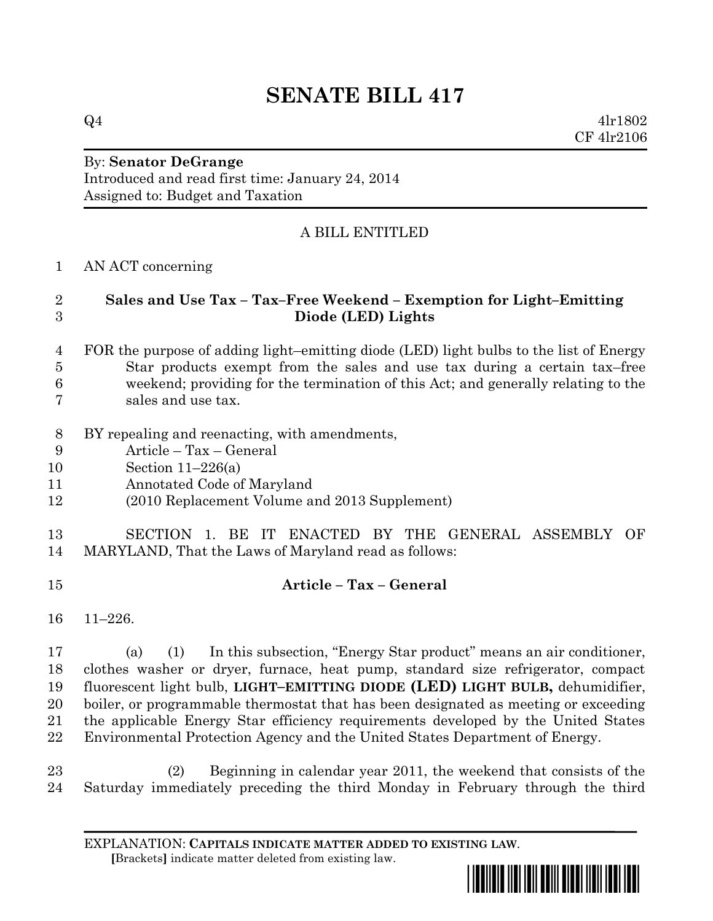# **SENATE BILL 417**

 $Q4$  4lr1802 CF 4lr2106

#### By: **Senator DeGrange** Introduced and read first time: January 24, 2014 Assigned to: Budget and Taxation

# A BILL ENTITLED

### AN ACT concerning

#### **Sales and Use Tax – Tax–Free Weekend – Exemption for Light–Emitting Diode (LED) Lights**

#### FOR the purpose of adding light–emitting diode (LED) light bulbs to the list of Energy Star products exempt from the sales and use tax during a certain tax–free weekend; providing for the termination of this Act; and generally relating to the sales and use tax.

- BY repealing and reenacting, with amendments,
- Article Tax General
- Section 11–226(a)
- Annotated Code of Maryland

## (2010 Replacement Volume and 2013 Supplement)

# SECTION 1. BE IT ENACTED BY THE GENERAL ASSEMBLY OF MARYLAND, That the Laws of Maryland read as follows:

- **Article – Tax – General**
- 11–226.

 (a) (1) In this subsection, "Energy Star product" means an air conditioner, clothes washer or dryer, furnace, heat pump, standard size refrigerator, compact fluorescent light bulb, **LIGHT–EMITTING DIODE (LED) LIGHT BULB,** dehumidifier, boiler, or programmable thermostat that has been designated as meeting or exceeding the applicable Energy Star efficiency requirements developed by the United States Environmental Protection Agency and the United States Department of Energy.

 (2) Beginning in calendar year 2011, the weekend that consists of the Saturday immediately preceding the third Monday in February through the third

EXPLANATION: **CAPITALS INDICATE MATTER ADDED TO EXISTING LAW**.  **[**Brackets**]** indicate matter deleted from existing law.